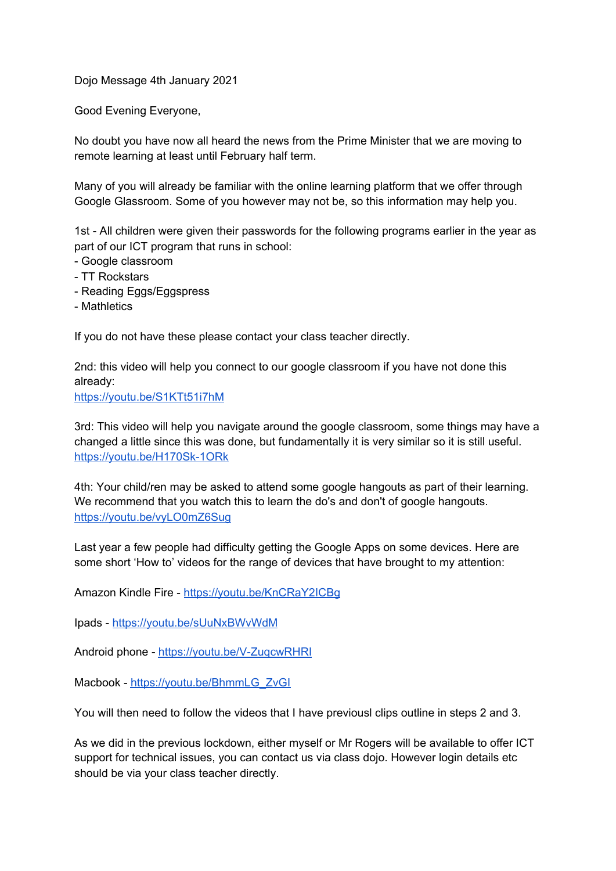Dojo Message 4th January 2021

Good Evening Everyone,

No doubt you have now all heard the news from the Prime Minister that we are moving to remote learning at least until February half term.

Many of you will already be familiar with the online learning platform that we offer through Google Glassroom. Some of you however may not be, so this information may help you.

1st - All children were given their passwords for the following programs earlier in the year as part of our ICT program that runs in school:

- Google classroom
- TT Rockstars
- Reading Eggs/Eggspress
- Mathletics

If you do not have these please contact your class teacher directly.

2nd: this video will help you connect to our google classroom if you have not done this already:

<https://youtu.be/S1KTt51i7hM>

3rd: This video will help you navigate around the google classroom, some things may have a changed a little since this was done, but fundamentally it is very similar so it is still useful. <https://youtu.be/H170Sk-1ORk>

4th: Your child/ren may be asked to attend some google hangouts as part of their learning. We recommend that you watch this to learn the do's and don't of google hangouts. <https://youtu.be/vyLO0mZ6Sug>

Last year a few people had difficulty getting the Google Apps on some devices. Here are some short 'How to' videos for the range of devices that have brought to my attention:

Amazon Kindle Fire - <https://youtu.be/KnCRaY2ICBg>

Ipads - <https://youtu.be/sUuNxBWvWdM>

Android phone - <https://youtu.be/V-ZuqcwRHRI>

Macbook - [https://youtu.be/BhmmLG\\_ZvGI](https://youtu.be/BhmmLG_ZvGI)

You will then need to follow the videos that I have previousl clips outline in steps 2 and 3.

As we did in the previous lockdown, either myself or Mr Rogers will be available to offer ICT support for technical issues, you can contact us via class dojo. However login details etc should be via your class teacher directly.